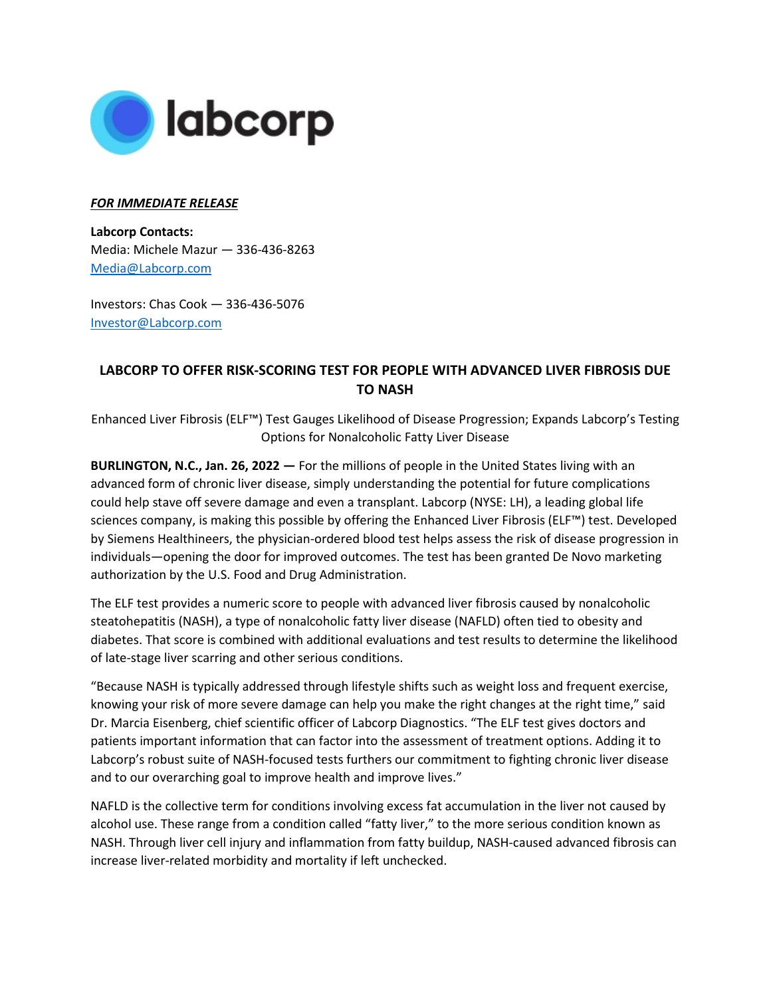

## *FOR IMMEDIATE RELEASE*

**Labcorp Contacts:**  Media: Michele Mazur — 336-436-8263 [Media@Labcorp.com](mailto:Media@Labcorp.com)

Investors: Chas Cook — 336-436-5076 [Investor@Labcorp.com](mailto:Investor@Labcorp.com) 

## **LABCORP TO OFFER RISK-SCORING TEST FOR PEOPLE WITH ADVANCED LIVER FIBROSIS DUE TO NASH**

Enhanced Liver Fibrosis (ELF™) Test Gauges Likelihood of Disease Progression; Expands Labcorp's Testing Options for Nonalcoholic Fatty Liver Disease

**BURLINGTON, N.C., Jan. 26, 2022 —** For the millions of people in the United States living with an advanced form of chronic liver disease, simply understanding the potential for future complications could help stave off severe damage and even a transplant. Labcorp (NYSE: LH), a leading global life sciences company, is making this possible by offering the Enhanced Liver Fibrosis (ELF™) test. Developed by Siemens Healthineers, the physician-ordered blood test helps assess the risk of disease progression in individuals—opening the door for improved outcomes. The test has been granted De Novo marketing authorization by the U.S. Food and Drug Administration.

The ELF test provides a numeric score to people with advanced liver fibrosis caused by nonalcoholic steatohepatitis (NASH), a type of nonalcoholic fatty liver disease (NAFLD) often tied to obesity and diabetes. That score is combined with additional evaluations and test results to determine the likelihood of late-stage liver scarring and other serious conditions.

"Because NASH is typically addressed through lifestyle shifts such as weight loss and frequent exercise, knowing your risk of more severe damage can help you make the right changes at the right time," said Dr. Marcia Eisenberg, chief scientific officer of Labcorp Diagnostics. "The ELF test gives doctors and patients important information that can factor into the assessment of treatment options. Adding it to Labcorp's robust suite of NASH-focused tests furthers our commitment to fighting chronic liver disease and to our overarching goal to improve health and improve lives."

NAFLD is the collective term for conditions involving excess fat accumulation in the liver not caused by alcohol use. These range from a condition called "fatty liver," to the more serious condition known as NASH. Through liver cell injury and inflammation from fatty buildup, NASH-caused advanced fibrosis can increase liver-related morbidity and mortality if left unchecked.